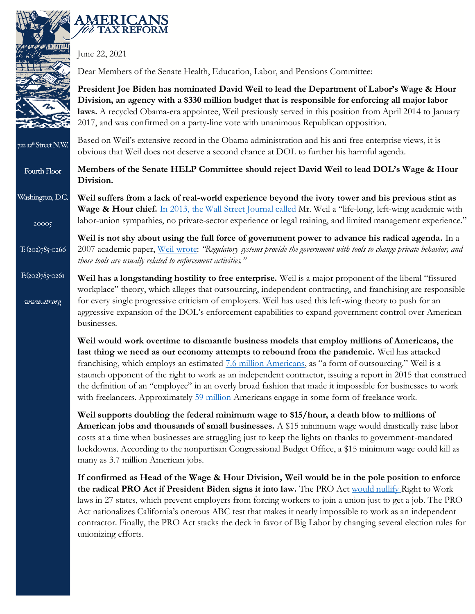

 $T: (202)785$ -0266

www.atr.org

June 22, 2021

**AMERICANS TAX REFORM** 

Dear Members of the Senate Health, Education, Labor, and Pensions Committee:

**President Joe Biden has nominated David Weil to lead the Department of Labor's Wage & Hour Division, an agency with a \$330 million budget that is responsible for enforcing all major labor laws.** A recycled Obama-era appointee, Weil previously served in this position from April 2014 to January 2017, and was confirmed on a party-line vote with unanimous Republican opposition.

Based on Weil's extensive record in the Obama administration and his anti-free enterprise views, it is 722 12<sup>th</sup>Street N.W. obvious that Weil does not deserve a second chance at DOL to further his harmful agenda.

**Members of the Senate HELP Committee should reject David Weil to lead DOL's Wage & Hour**  Fourth Floor **Division.**

Washington, D.C. **Weil suffers from a lack of real-world experience beyond the ivory tower and his previous stint as Wage & Hour chief.** [In 2013, the Wall Street Journal called](https://www.wsj.com/articles/SB10001424052702303293604579252704167517142) Mr. Weil a "life-long, left-wing academic with labor-union sympathies, no private-sector experience or legal training, and limited management experience." 20005

> **Weil is not shy about using the full force of government power to advance his radical agenda.** In a 2007 academic paper, Weil [wrote:](https://papers.ssrn.com/sol3/papers.cfm?abstract_id=996901) *"Regulatory systems provide the government with tools to change private behavior, and those tools are usually related to enforcement activities."*

 $F:(202)785$ <sup>-0261</sup> **Weil has a longstanding hostility to free enterprise.** Weil is a major proponent of the liberal "fissured workplace" theory, which alleges that outsourcing, independent contracting, and franchising are responsible for every single progressive criticism of employers. Weil has used this left-wing theory to push for an aggressive expansion of the DOL's enforcement capabilities to expand government control over American businesses.

> **Weil would work overtime to dismantle business models that employ millions of Americans, the last thing we need as our economy attempts to rebound from the pandemic.** Weil has attacked franchising, which employs an estimated **[7.6 million Americans](https://franchiseeconomy.com/)**, as "a form of outsourcing." Weil is a staunch opponent of the right to work as an independent contractor, issuing a report in 2015 that construed the definition of an "employee" in an overly broad fashion that made it impossible for businesses to work with freelancers. Approximately [59 million](https://www.bloomberg.com/news/articles/2020-09-15/covid-pandemic-turns-america-into-a-nation-of-freelancers) Americans engage in some form of freelance work.

**Weil supports doubling the federal minimum wage to \$15/hour, a death blow to millions of American jobs and thousands of small businesses.** A \$15 minimum wage would drastically raise labor costs at a time when businesses are struggling just to keep the lights on thanks to government-mandated lockdowns. According to the nonpartisan Congressional Budget Office, a \$15 minimum wage could kill as many as 3.7 million American jobs.

**If confirmed as Head of the Wage & Hour Division, Weil would be in the pole position to enforce the radical PRO Act if President Biden signs it into law.** The PRO Act [would nullify](https://www.atr.org/70-groups-activists-congress-oppose-pro-act) Right to Work laws in 27 states, which prevent employers from forcing workers to join a union just to get a job. The PRO Act nationalizes California's onerous ABC test that makes it nearly impossible to work as an independent contractor. Finally, the PRO Act stacks the deck in favor of Big Labor by changing several election rules for unionizing efforts.